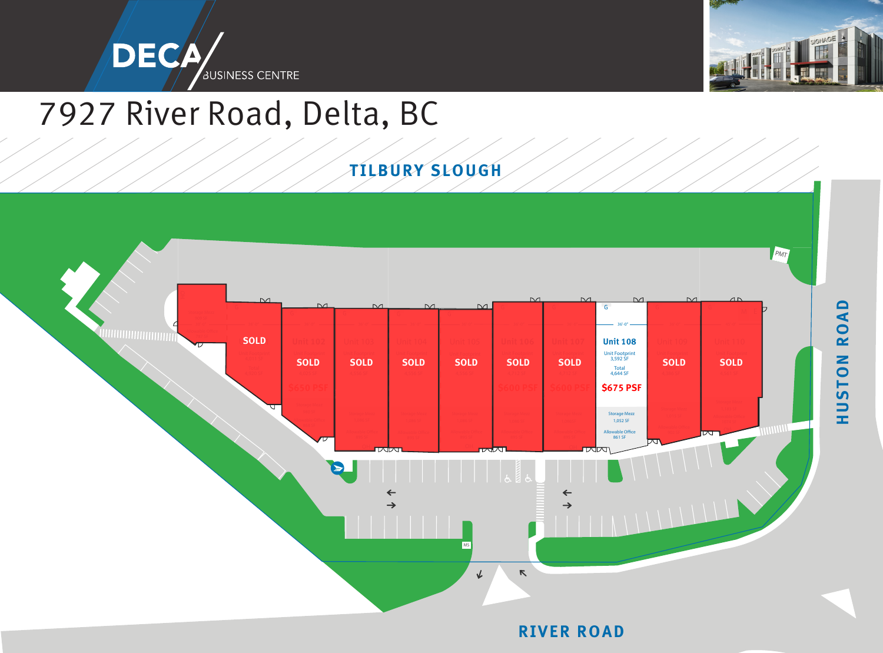



## 7927 River Road, Delta, BC

## **TILBURY SLOUGH**